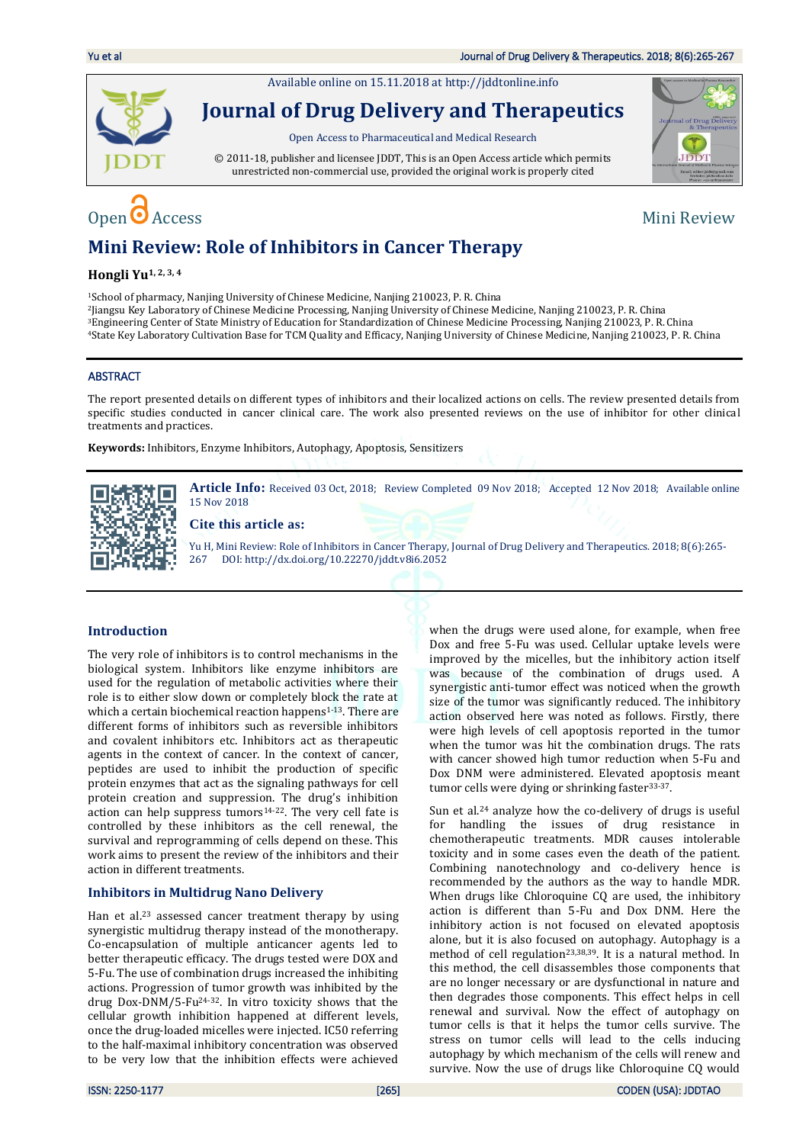Available online on 15.11.2018 a[t http://jddtonline.info](http://jddtonline.info/)



**Journal of Drug Delivery and Therapeutics**

Open Access to Pharmaceutical and Medical Research

© 2011-18, publisher and licensee JDDT, This is an Open Access article which permits unrestricted non-commercial use, provided the original work is properly cited

# Open  $\bullet$  Access Mini Review



## **Mini Review: Role of Inhibitors in Cancer Therapy**

### **Hongli Yu1, 2, 3, 4**

<sup>1</sup>School of pharmacy, Nanjing University of Chinese Medicine, Nanjing 210023, P. R. China

<sup>2</sup>Jiangsu Key Laboratory of Chinese Medicine Processing, Nanjing University of Chinese Medicine, Nanjing 210023, P. R. China

<sup>3</sup>Engineering Center of State Ministry of Education for Standardization of Chinese Medicine Processing, Nanjing 210023, P. R. China

<sup>4</sup>State Key Laboratory Cultivation Base for TCM Quality and Efficacy, Nanjing University of Chinese Medicine, Nanjing 210023, P. R. China

### ABSTRACT

The report presented details on different types of inhibitors and their localized actions on cells. The review presented details from specific studies conducted in cancer clinical care. The work also presented reviews on the use of inhibitor for other clinical treatments and practices.

**Keywords:** Inhibitors, Enzyme Inhibitors, Autophagy, Apoptosis, Sensitizers



**Article Info:** Received 03 Oct, 2018; Review Completed 09 Nov 2018; Accepted 12 Nov 2018; Available online 15 Nov 2018

### **Cite this article as:**

Yu H, Mini Review: Role of Inhibitors in Cancer Therapy, Journal of Drug Delivery and Therapeutics. 2018; 8(6):265- 267 DOI[: http://dx.doi.org/10.22270/jddt.v8i6.2052](http://dx.doi.org/10.22270/jddt.v8i6.2052) 

### **Introduction**

The very role of inhibitors is to control mechanisms in the biological system. Inhibitors like enzyme inhibitors are used for the regulation of metabolic activities where their role is to either slow down or completely block the rate at which a certain biochemical reaction happens<sup>1-13</sup>. There are different forms of inhibitors such as reversible inhibitors and covalent inhibitors etc. Inhibitors act as therapeutic agents in the context of cancer. In the context of cancer, peptides are used to inhibit the production of specific protein enzymes that act as the signaling pathways for cell protein creation and suppression. The drug's inhibition action can help suppress tumors14-22. The very cell fate is controlled by these inhibitors as the cell renewal, the survival and reprogramming of cells depend on these. This work aims to present the review of the inhibitors and their action in different treatments.

### **Inhibitors in Multidrug Nano Delivery**

Han et al.<sup>23</sup> assessed cancer treatment therapy by using synergistic multidrug therapy instead of the monotherapy. Co-encapsulation of multiple anticancer agents led to better therapeutic efficacy. The drugs tested were DOX and 5-Fu. The use of combination drugs increased the inhibiting actions. Progression of tumor growth was inhibited by the drug Dox-DNM/5-Fu24-32. In vitro toxicity shows that the cellular growth inhibition happened at different levels, once the drug-loaded micelles were injected. IC50 referring to the half-maximal inhibitory concentration was observed to be very low that the inhibition effects were achieved when the drugs were used alone, for example, when free Dox and free 5-Fu was used. Cellular uptake levels were improved by the micelles, but the inhibitory action itself was because of the combination of drugs used. A synergistic anti-tumor effect was noticed when the growth size of the tumor was significantly reduced. The inhibitory action observed here was noted as follows. Firstly, there were high levels of cell apoptosis reported in the tumor when the tumor was hit the combination drugs. The rats with cancer showed high tumor reduction when 5-Fu and Dox DNM were administered. Elevated apoptosis meant tumor cells were dying or shrinking faster<sup>33-37</sup>.

Sun et al.<sup>24</sup> analyze how the co-delivery of drugs is useful for handling the issues of drug resistance in chemotherapeutic treatments. MDR causes intolerable toxicity and in some cases even the death of the patient. Combining nanotechnology and co-delivery hence is recommended by the authors as the way to handle MDR. When drugs like Chloroquine CQ are used, the inhibitory action is different than 5-Fu and Dox DNM. Here the inhibitory action is not focused on elevated apoptosis alone, but it is also focused on autophagy. Autophagy is a method of cell regulation<sup>23,38,39</sup>. It is a natural method. In this method, the cell disassembles those components that are no longer necessary or are dysfunctional in nature and then degrades those components. This effect helps in cell renewal and survival. Now the effect of autophagy on tumor cells is that it helps the tumor cells survive. The stress on tumor cells will lead to the cells inducing autophagy by which mechanism of the cells will renew and survive. Now the use of drugs like Chloroquine CQ would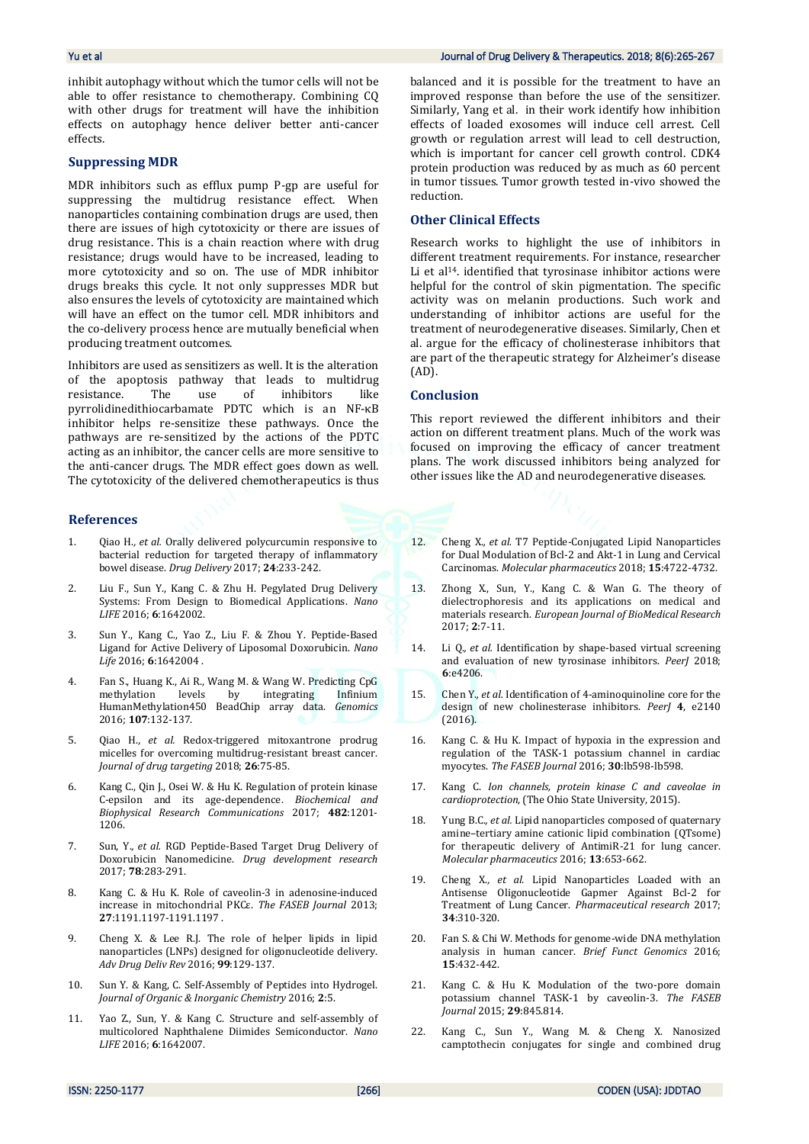inhibit autophagy without which the tumor cells will not be able to offer resistance to chemotherapy. Combining CQ with other drugs for treatment will have the inhibition effects on autophagy hence deliver better anti-cancer effects.

### **Suppressing MDR**

MDR inhibitors such as efflux pump P-gp are useful for suppressing the multidrug resistance effect. When nanoparticles containing combination drugs are used, then there are issues of high cytotoxicity or there are issues of drug resistance. This is a chain reaction where with drug resistance; drugs would have to be increased, leading to more cytotoxicity and so on. The use of MDR inhibitor drugs breaks this cycle. It not only suppresses MDR but also ensures the levels of cytotoxicity are maintained which will have an effect on the tumor cell. MDR inhibitors and the co-delivery process hence are mutually beneficial when producing treatment outcomes.

Inhibitors are used as sensitizers as well. It is the alteration of the apoptosis pathway that leads to multidrug resistance. The use of inhibitors like pyrrolidinedithiocarbamate PDTC which is an NF-κB inhibitor helps re-sensitize these pathways. Once the pathways are re-sensitized by the actions of the PDTC acting as an inhibitor, the cancer cells are more sensitive to the anti-cancer drugs. The MDR effect goes down as well. The cytotoxicity of the delivered chemotherapeutics is thus

### **References**

- 1. Qiao H.*, et al.* Orally delivered polycurcumin responsive to bacterial reduction for targeted therapy of inflammatory bowel disease. *Drug Delivery* 2017; **24**:233-242.
- 2. Liu F., Sun Y., Kang C. & Zhu H. Pegylated Drug Delivery Systems: From Design to Biomedical Applications. *Nano LIFE* 2016; **6**:1642002.
- 3. Sun Y., Kang C., Yao Z., Liu F. & Zhou Y. Peptide-Based Ligand for Active Delivery of Liposomal Doxorubicin. *Nano Life* 2016; **6**:1642004 .
- 4. Fan S., Huang K., Ai R., Wang M. & Wang W. Predicting CpG methylation levels by integrating Infinium HumanMethylation450 BeadChip array data. *Genomics* 2016; **107**:132-137.
- 5. Qiao H.*, et al.* Redox-triggered mitoxantrone prodrug micelles for overcoming multidrug-resistant breast cancer. *Journal of drug targeting* 2018; **26**:75-85.
- 6. Kang C., Qin J., Osei W. & Hu K. Regulation of protein kinase C-epsilon and its age-dependence. *Biochemical and Biophysical Research Communications* 2017; **482**:1201- 1206.
- 7. Sun, Y.*, et al.* RGD Peptide‐Based Target Drug Delivery of Doxorubicin Nanomedicine. *Drug development research* 2017; **78**:283-291.
- 8. Kang C. & Hu K. Role of caveolin-3 in adenosine-induced increase in mitochondrial PKCε. *The FASEB Journal* 2013; **27**:1191.1197-1191.1197 .
- 9. Cheng X. & Lee R.J. The role of helper lipids in lipid nanoparticles (LNPs) designed for oligonucleotide delivery. *Adv Drug Deliv Rev* 2016; **99**:129-137.
- 10. Sun Y. & Kang, C. Self-Assembly of Peptides into Hydrogel. *Journal of Organic & Inorganic Chemistry* 2016; **2**:5.
- 11. Yao Z., Sun, Y. & Kang C. Structure and self-assembly of multicolored Naphthalene Diimides Semiconductor. *Nano LIFE* 2016; **6**:1642007.

### Yu et al Journal of Drug Delivery & Therapeutics. 2018; 8(6):265-267

balanced and it is possible for the treatment to have an improved response than before the use of the sensitizer. Similarly, Yang et al. in their work identify how inhibition effects of loaded exosomes will induce cell arrest. Cell growth or regulation arrest will lead to cell destruction, which is important for cancer cell growth control. CDK4 protein production was reduced by as much as 60 percent in tumor tissues. Tumor growth tested in-vivo showed the reduction.

### **Other Clinical Effects**

Research works to highlight the use of inhibitors in different treatment requirements. For instance, researcher Li et al<sup>14</sup>. identified that tyrosinase inhibitor actions were helpful for the control of skin pigmentation. The specific activity was on melanin productions. Such work and understanding of inhibitor actions are useful for the treatment of neurodegenerative diseases. Similarly, Chen et al. argue for the efficacy of cholinesterase inhibitors that are part of the therapeutic strategy for Alzheimer's disease (AD).

### **Conclusion**

This report reviewed the different inhibitors and their action on different treatment plans. Much of the work was focused on improving the efficacy of cancer treatment plans. The work discussed inhibitors being analyzed for other issues like the AD and neurodegenerative diseases.

- 12. Cheng X.*, et al.* T7 Peptide-Conjugated Lipid Nanoparticles for Dual Modulation of Bcl-2 and Akt-1 in Lung and Cervical Carcinomas. *Molecular pharmaceutics* 2018; **15**:4722-4732.
- 13. Zhong X., Sun, Y., Kang C. & Wan G. The theory of dielectrophoresis and its applications on medical and materials research. *European Journal of BioMedical Research* 2017; **2**:7-11.
- 14. Li Q.*, et al.* Identification by shape-based virtual screening and evaluation of new tyrosinase inhibitors. *PeerJ* 2018; **6**:e4206.
- 15. Chen Y.*, et al.* Identification of 4-aminoquinoline core for the design of new cholinesterase inhibitors. *PeerJ* **4**, e2140 (2016).
- 16. Kang C. & Hu K. Impact of hypoxia in the expression and regulation of the TASK-1 potassium channel in cardiac myocytes. *The FASEB Journal* 2016; **30**:lb598-lb598.
- 17. Kang C. *Ion channels, protein kinase C and caveolae in cardioprotection*, (The Ohio State University, 2015).
- 18. Yung B.C.*, et al.* Lipid nanoparticles composed of quaternary amine–tertiary amine cationic lipid combination (QTsome) for therapeutic delivery of AntimiR-21 for lung cancer. *Molecular pharmaceutics* 2016; **13**:653-662.
- 19. Cheng X.*, et al.* Lipid Nanoparticles Loaded with an Antisense Oligonucleotide Gapmer Against Bcl-2 for Treatment of Lung Cancer. *Pharmaceutical research* 2017; **34**:310-320.
- 20. Fan S. & Chi W. Methods for genome-wide DNA methylation analysis in human cancer. *Brief Funct Genomics* 2016; **15**:432-442.
- 21. Kang C. & Hu K. Modulation of the two-pore domain potassium channel TASK-1 by caveolin-3. *The FASEB Journal* 2015; **29**:845.814.
- 22. Kang C., Sun Y., Wang M. & Cheng X. Nanosized camptothecin conjugates for single and combined drug